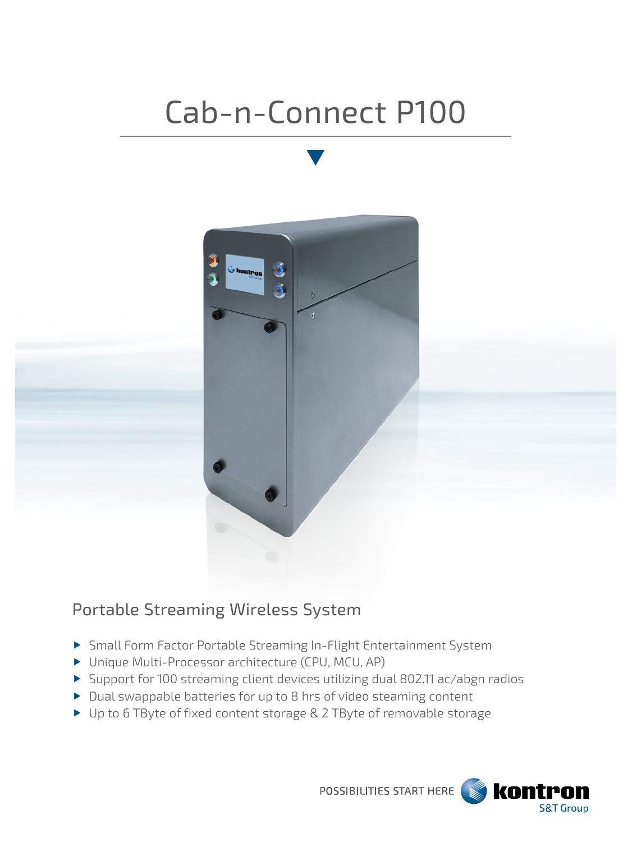# Cab-n-Connect P100



## Portable Streaming Wireless System

- Small Form Factor Portable Streaming In-Flight Entertainment System
- ▶ Unique Multi-Processor architecture (CPU, MCU, AP)
- Support for 100 streaming client devices utilizing dual 802.11 ac/abgn radios
- Dual swappable batteries for up to 8 hrs of video steaming content
- ▶ Up to 6 TByte of fixed content storage & 2 TByte of removable storage